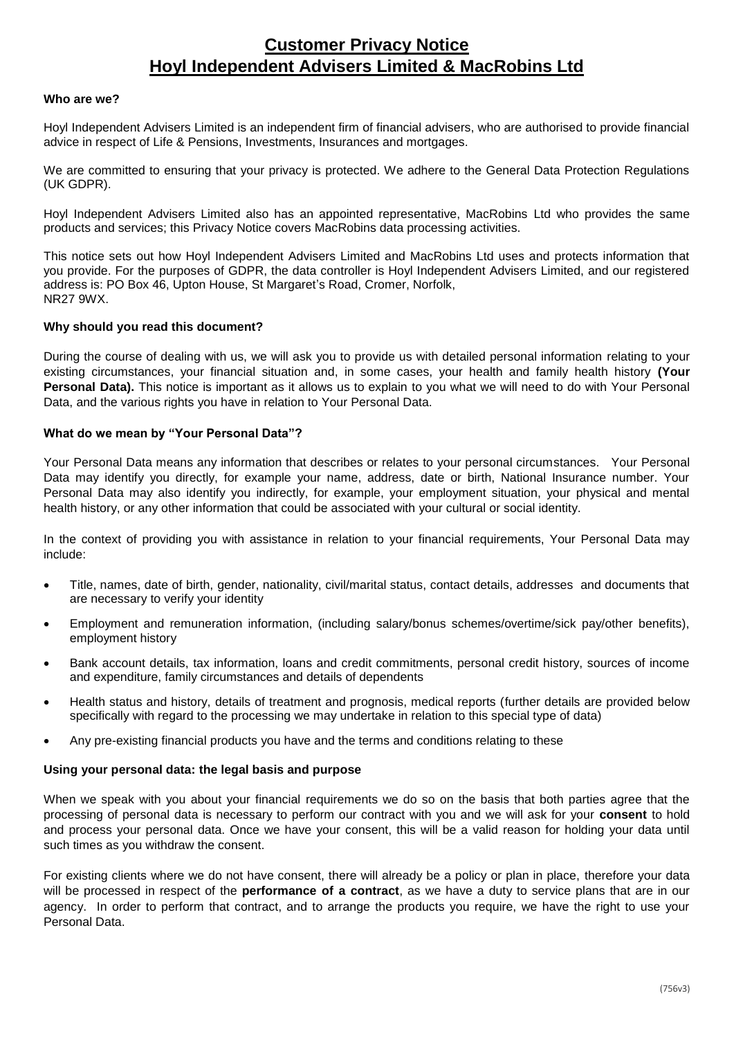## **Customer Privacy Notice Hoyl Independent Advisers Limited & MacRobins Ltd**

#### **Who are we?**

Hoyl Independent Advisers Limited is an independent firm of financial advisers, who are authorised to provide financial advice in respect of Life & Pensions, Investments, Insurances and mortgages.

We are committed to ensuring that your privacy is protected. We adhere to the General Data Protection Regulations (UK GDPR).

Hoyl Independent Advisers Limited also has an appointed representative, MacRobins Ltd who provides the same products and services; this Privacy Notice covers MacRobins data processing activities.

This notice sets out how Hoyl Independent Advisers Limited and MacRobins Ltd uses and protects information that you provide. For the purposes of GDPR, the data controller is Hoyl Independent Advisers Limited, and our registered address is: PO Box 46, Upton House, St Margaret's Road, Cromer, Norfolk, NR27 9WX.

#### **Why should you read this document?**

During the course of dealing with us, we will ask you to provide us with detailed personal information relating to your existing circumstances, your financial situation and, in some cases, your health and family health history **(Your Personal Data).** This notice is important as it allows us to explain to you what we will need to do with Your Personal Data, and the various rights you have in relation to Your Personal Data.

#### **What do we mean by "Your Personal Data"?**

Your Personal Data means any information that describes or relates to your personal circumstances. Your Personal Data may identify you directly, for example your name, address, date or birth, National Insurance number. Your Personal Data may also identify you indirectly, for example, your employment situation, your physical and mental health history, or any other information that could be associated with your cultural or social identity.

In the context of providing you with assistance in relation to your financial requirements, Your Personal Data may include:

- Title, names, date of birth, gender, nationality, civil/marital status, contact details, addresses and documents that are necessary to verify your identity
- Employment and remuneration information, (including salary/bonus schemes/overtime/sick pay/other benefits), employment history
- Bank account details, tax information, loans and credit commitments, personal credit history, sources of income and expenditure, family circumstances and details of dependents
- Health status and history, details of treatment and prognosis, medical reports (further details are provided below specifically with regard to the processing we may undertake in relation to this special type of data)
- Any pre-existing financial products you have and the terms and conditions relating to these

#### **Using your personal data: the legal basis and purpose**

When we speak with you about your financial requirements we do so on the basis that both parties agree that the processing of personal data is necessary to perform our contract with you and we will ask for your **consent** to hold and process your personal data. Once we have your consent, this will be a valid reason for holding your data until such times as you withdraw the consent.

For existing clients where we do not have consent, there will already be a policy or plan in place, therefore your data will be processed in respect of the **performance of a contract**, as we have a duty to service plans that are in our agency. In order to perform that contract, and to arrange the products you require, we have the right to use your Personal Data.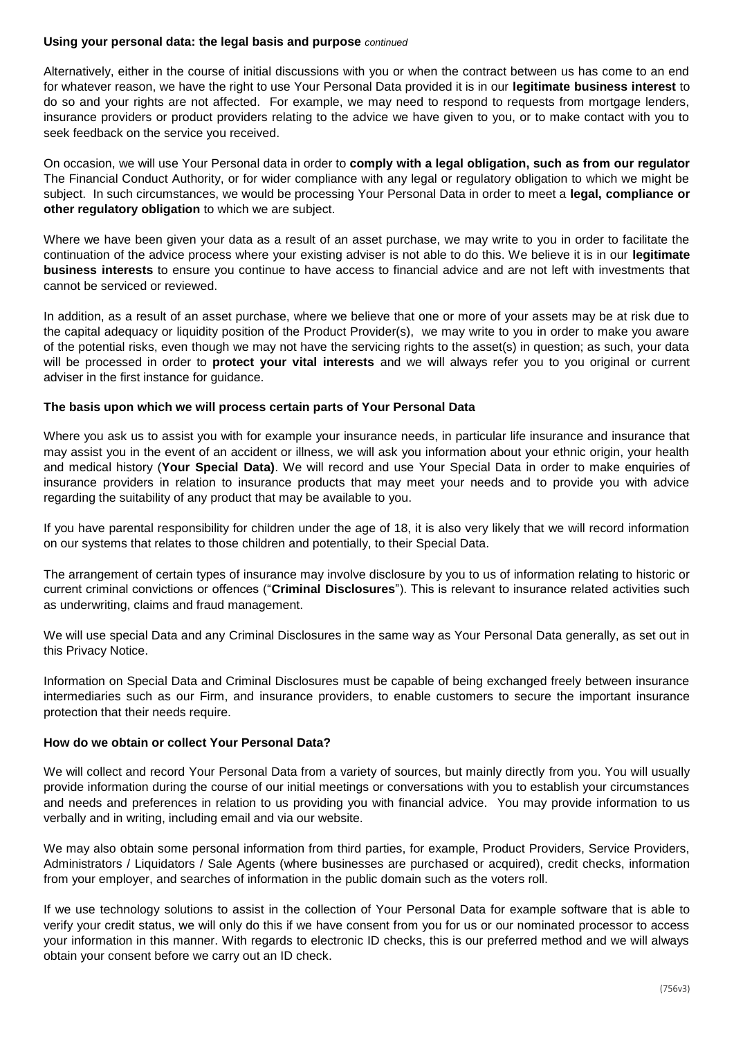#### **Using your personal data: the legal basis and purpose** *continued*

Alternatively, either in the course of initial discussions with you or when the contract between us has come to an end for whatever reason, we have the right to use Your Personal Data provided it is in our **legitimate business interest** to do so and your rights are not affected. For example, we may need to respond to requests from mortgage lenders, insurance providers or product providers relating to the advice we have given to you, or to make contact with you to seek feedback on the service you received.

On occasion, we will use Your Personal data in order to **comply with a legal obligation, such as from our regulator** The Financial Conduct Authority, or for wider compliance with any legal or regulatory obligation to which we might be subject. In such circumstances, we would be processing Your Personal Data in order to meet a **legal, compliance or other regulatory obligation** to which we are subject.

Where we have been given your data as a result of an asset purchase, we may write to you in order to facilitate the continuation of the advice process where your existing adviser is not able to do this. We believe it is in our **legitimate business interests** to ensure you continue to have access to financial advice and are not left with investments that cannot be serviced or reviewed.

In addition, as a result of an asset purchase, where we believe that one or more of your assets may be at risk due to the capital adequacy or liquidity position of the Product Provider(s), we may write to you in order to make you aware of the potential risks, even though we may not have the servicing rights to the asset(s) in question; as such, your data will be processed in order to **protect your vital interests** and we will always refer you to you original or current adviser in the first instance for guidance.

#### **The basis upon which we will process certain parts of Your Personal Data**

Where you ask us to assist you with for example your insurance needs, in particular life insurance and insurance that may assist you in the event of an accident or illness, we will ask you information about your ethnic origin, your health and medical history (**Your Special Data)**. We will record and use Your Special Data in order to make enquiries of insurance providers in relation to insurance products that may meet your needs and to provide you with advice regarding the suitability of any product that may be available to you.

If you have parental responsibility for children under the age of 18, it is also very likely that we will record information on our systems that relates to those children and potentially, to their Special Data.

The arrangement of certain types of insurance may involve disclosure by you to us of information relating to historic or current criminal convictions or offences ("**Criminal Disclosures**"). This is relevant to insurance related activities such as underwriting, claims and fraud management.

We will use special Data and any Criminal Disclosures in the same way as Your Personal Data generally, as set out in this Privacy Notice.

Information on Special Data and Criminal Disclosures must be capable of being exchanged freely between insurance intermediaries such as our Firm, and insurance providers, to enable customers to secure the important insurance protection that their needs require.

#### **How do we obtain or collect Your Personal Data?**

We will collect and record Your Personal Data from a variety of sources, but mainly directly from you. You will usually provide information during the course of our initial meetings or conversations with you to establish your circumstances and needs and preferences in relation to us providing you with financial advice. You may provide information to us verbally and in writing, including email and via our website.

We may also obtain some personal information from third parties, for example, Product Providers, Service Providers, Administrators / Liquidators / Sale Agents (where businesses are purchased or acquired), credit checks, information from your employer, and searches of information in the public domain such as the voters roll.

If we use technology solutions to assist in the collection of Your Personal Data for example software that is able to verify your credit status, we will only do this if we have consent from you for us or our nominated processor to access your information in this manner. With regards to electronic ID checks, this is our preferred method and we will always obtain your consent before we carry out an ID check.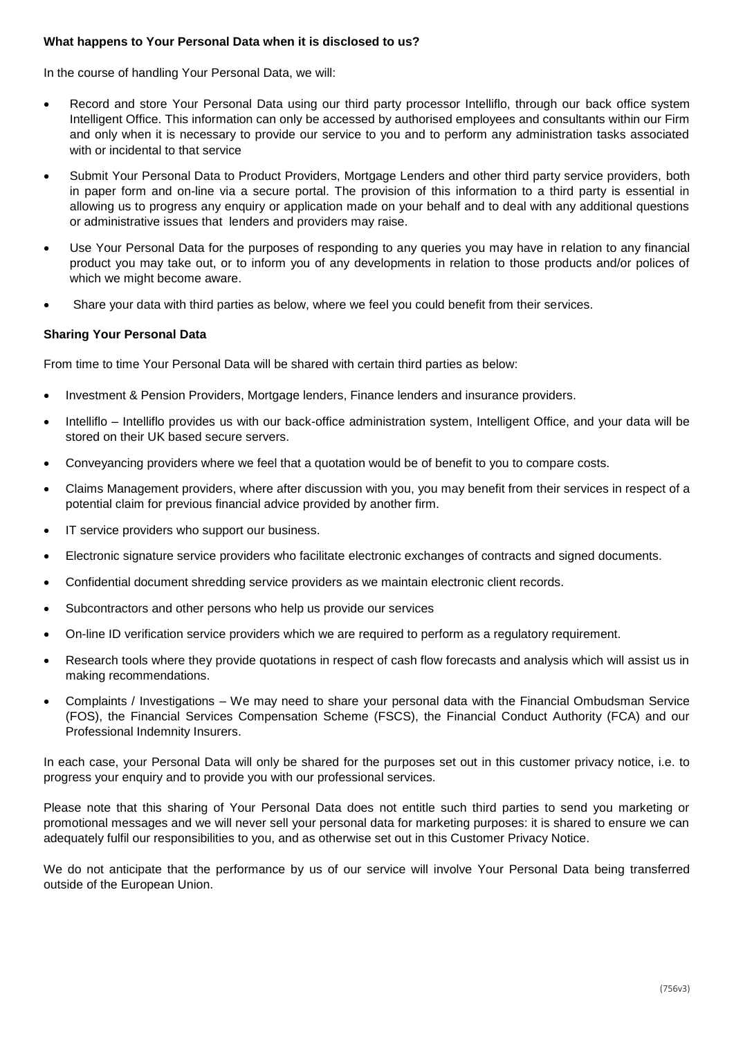#### **What happens to Your Personal Data when it is disclosed to us?**

In the course of handling Your Personal Data, we will:

- Record and store Your Personal Data using our third party processor Intelliflo, through our back office system Intelligent Office. This information can only be accessed by authorised employees and consultants within our Firm and only when it is necessary to provide our service to you and to perform any administration tasks associated with or incidental to that service
- Submit Your Personal Data to Product Providers, Mortgage Lenders and other third party service providers, both in paper form and on-line via a secure portal. The provision of this information to a third party is essential in allowing us to progress any enquiry or application made on your behalf and to deal with any additional questions or administrative issues that lenders and providers may raise.
- Use Your Personal Data for the purposes of responding to any queries you may have in relation to any financial product you may take out, or to inform you of any developments in relation to those products and/or polices of which we might become aware.
- Share your data with third parties as below, where we feel you could benefit from their services.

### **Sharing Your Personal Data**

From time to time Your Personal Data will be shared with certain third parties as below:

- Investment & Pension Providers, Mortgage lenders, Finance lenders and insurance providers.
- Intelliflo Intelliflo provides us with our back-office administration system, Intelligent Office, and your data will be stored on their UK based secure servers.
- Conveyancing providers where we feel that a quotation would be of benefit to you to compare costs.
- Claims Management providers, where after discussion with you, you may benefit from their services in respect of a potential claim for previous financial advice provided by another firm.
- IT service providers who support our business.
- Electronic signature service providers who facilitate electronic exchanges of contracts and signed documents.
- Confidential document shredding service providers as we maintain electronic client records.
- Subcontractors and other persons who help us provide our services
- On-line ID verification service providers which we are required to perform as a regulatory requirement.
- Research tools where they provide quotations in respect of cash flow forecasts and analysis which will assist us in making recommendations.
- Complaints / Investigations We may need to share your personal data with the Financial Ombudsman Service (FOS), the Financial Services Compensation Scheme (FSCS), the Financial Conduct Authority (FCA) and our Professional Indemnity Insurers.

In each case, your Personal Data will only be shared for the purposes set out in this customer privacy notice, i.e. to progress your enquiry and to provide you with our professional services.

Please note that this sharing of Your Personal Data does not entitle such third parties to send you marketing or promotional messages and we will never sell your personal data for marketing purposes: it is shared to ensure we can adequately fulfil our responsibilities to you, and as otherwise set out in this Customer Privacy Notice.

We do not anticipate that the performance by us of our service will involve Your Personal Data being transferred outside of the European Union.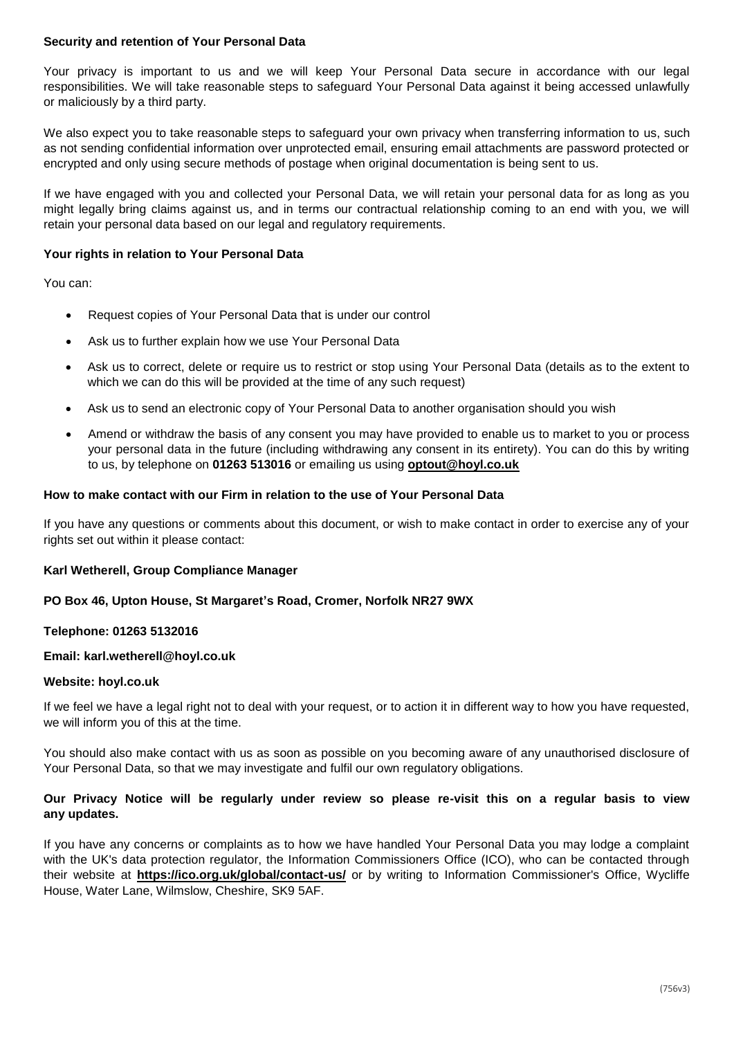#### **Security and retention of Your Personal Data**

Your privacy is important to us and we will keep Your Personal Data secure in accordance with our legal responsibilities. We will take reasonable steps to safeguard Your Personal Data against it being accessed unlawfully or maliciously by a third party.

We also expect you to take reasonable steps to safeguard your own privacy when transferring information to us, such as not sending confidential information over unprotected email, ensuring email attachments are password protected or encrypted and only using secure methods of postage when original documentation is being sent to us.

If we have engaged with you and collected your Personal Data, we will retain your personal data for as long as you might legally bring claims against us, and in terms our contractual relationship coming to an end with you, we will retain your personal data based on our legal and regulatory requirements.

#### **Your rights in relation to Your Personal Data**

You can:

- Request copies of Your Personal Data that is under our control
- Ask us to further explain how we use Your Personal Data
- Ask us to correct, delete or require us to restrict or stop using Your Personal Data (details as to the extent to which we can do this will be provided at the time of any such request)
- Ask us to send an electronic copy of Your Personal Data to another organisation should you wish
- Amend or withdraw the basis of any consent you may have provided to enable us to market to you or process your personal data in the future (including withdrawing any consent in its entirety). You can do this by writing to us, by telephone on **01263 513016** or emailing us using **[optout@hoyl.co.uk](mailto:optout@hoyl.co.uk)**

#### **How to make contact with our Firm in relation to the use of Your Personal Data**

If you have any questions or comments about this document, or wish to make contact in order to exercise any of your rights set out within it please contact:

#### **Karl Wetherell, Group Compliance Manager**

#### **PO Box 46, Upton House, St Margaret's Road, Cromer, Norfolk NR27 9WX**

#### **Telephone: 01263 5132016**

#### **Email: karl.wetherell@hoyl.co.uk**

#### **Website: hoyl.co.uk**

If we feel we have a legal right not to deal with your request, or to action it in different way to how you have requested, we will inform you of this at the time.

You should also make contact with us as soon as possible on you becoming aware of any unauthorised disclosure of Your Personal Data, so that we may investigate and fulfil our own regulatory obligations.

#### **Our Privacy Notice will be regularly under review so please re-visit this on a regular basis to view any updates.**

If you have any concerns or complaints as to how we have handled Your Personal Data you may lodge a complaint with the UK's data protection regulator, the Information Commissioners Office (ICO), who can be contacted through their website at **<https://ico.org.uk/global/contact-us/>** or by writing to Information Commissioner's Office, Wycliffe House, Water Lane, Wilmslow, Cheshire, SK9 5AF.